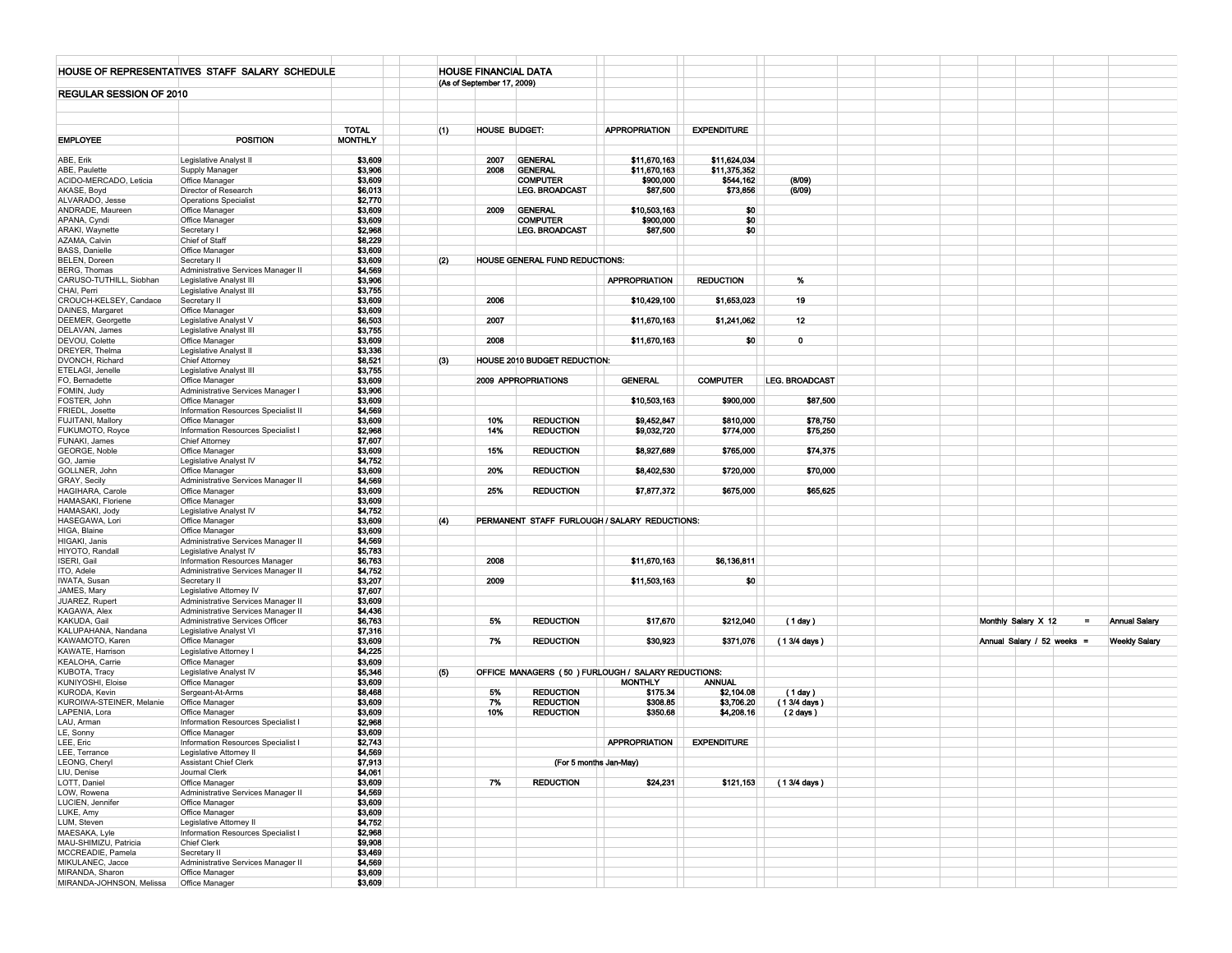|                               | HOUSE OF REPRESENTATIVES STAFF SALARY SCHEDULE                           |                    | <b>HOUSE FINANCIAL DATA</b> |                                |                                                     |                    |                |                            |                      |
|-------------------------------|--------------------------------------------------------------------------|--------------------|-----------------------------|--------------------------------|-----------------------------------------------------|--------------------|----------------|----------------------------|----------------------|
|                               |                                                                          |                    | (As of September 17, 2009)  |                                |                                                     |                    |                |                            |                      |
| REGULAR SESSION OF 2010       |                                                                          |                    |                             |                                |                                                     |                    |                |                            |                      |
|                               |                                                                          |                    |                             |                                |                                                     |                    |                |                            |                      |
|                               |                                                                          |                    |                             |                                |                                                     |                    |                |                            |                      |
|                               |                                                                          |                    |                             |                                |                                                     |                    |                |                            |                      |
|                               | <b>POSITION</b>                                                          | <b>TOTAL</b>       | HOUSE BUDGET:<br>(1)        |                                | <b>APPROPRIATION</b>                                | <b>EXPENDITURE</b> |                |                            |                      |
| <b>EMPLOYEE</b>               |                                                                          | <b>MONTHLY</b>     |                             |                                |                                                     |                    |                |                            |                      |
| ABE, Erik                     |                                                                          | \$3,609            | 2007                        | <b>GENERAL</b>                 | \$11,670,163                                        | \$11,624,034       |                |                            |                      |
| ABE, Paulette                 | Legislative Analyst II<br>Supply Manager                                 | \$3,906            | 2008                        | <b>GENERAL</b>                 | \$11,670,163                                        | \$11,375,352       |                |                            |                      |
| ACIDO-MERCADO, Leticia        | Office Manager                                                           | \$3,609            |                             | <b>COMPUTER</b>                | \$900,000                                           | \$544,162          | (8/09)         |                            |                      |
| AKASE, Boyd                   | Director of Research                                                     | \$6,013            |                             | <b>LEG. BROADCAST</b>          | \$87,500                                            | \$73,856           | (6/09)         |                            |                      |
| ALVARADO, Jesse               | <b>Operations Specialist</b>                                             | \$2,770            |                             |                                |                                                     |                    |                |                            |                      |
| ANDRADE, Maureen              | Office Manager                                                           | \$3,609            | 2009                        | <b>GENERAL</b>                 | \$10,503,163                                        | \$0                |                |                            |                      |
| APANA, Cyndi                  | Office Manager                                                           | \$3,609            |                             | <b>COMPUTER</b>                | \$900,000                                           | \$0                |                |                            |                      |
| ARAKI, Waynette               | Secretary I                                                              | \$2,968            |                             | LEG. BROADCAST                 | \$87,500                                            | \$0                |                |                            |                      |
| AZAMA, Calvin                 | Chief of Staff                                                           | \$8,229            |                             |                                |                                                     |                    |                |                            |                      |
| <b>BASS, Danielle</b>         | Office Manager                                                           | \$3,609            |                             |                                |                                                     |                    |                |                            |                      |
| BELEN, Doreen                 | Secretary II                                                             | \$3,609            | (2)                         | HOUSE GENERAL FUND REDUCTIONS: |                                                     |                    |                |                            |                      |
| BERG, Thomas                  | Administrative Services Manager II                                       | \$4,569            |                             |                                |                                                     |                    |                |                            |                      |
| CARUSO-TUTHILL, Siobhan       | Legislative Analyst III                                                  | \$3,906            |                             |                                | <b>APPROPRIATION</b>                                | <b>REDUCTION</b>   | %              |                            |                      |
| CHAI, Perri                   | Legislative Analyst III                                                  | \$3,755            |                             |                                |                                                     |                    |                |                            |                      |
| CROUCH-KELSEY, Candace        | Secretary II                                                             | \$3,609            | 2006                        |                                | \$10,429,100                                        | \$1,653,023        | 19             |                            |                      |
| DAINES, Margaret              | Office Manager                                                           | \$3,609            |                             |                                |                                                     |                    |                |                            |                      |
| DEEMER, Georgette             | Legislative Analyst V                                                    | \$6,503            | 2007                        |                                | \$11,670,163                                        | \$1,241,062        | 12             |                            |                      |
| DELAVAN, James                | Legislative Analyst III                                                  | \$3,755            |                             |                                |                                                     |                    |                |                            |                      |
| DEVOU, Colette                | Office Manager                                                           | \$3,609            | 2008                        |                                | \$11,670,163                                        | \$0                | 0              |                            |                      |
| DREYER, Thelma                | Legislative Analyst II                                                   | \$3,336            |                             |                                |                                                     |                    |                |                            |                      |
| DVONCH, Richard               | <b>Chief Attorney</b>                                                    | \$8,521            | (3)                         | HOUSE 2010 BUDGET REDUCTION:   |                                                     |                    |                |                            |                      |
| ETELAGI, Jenelle              | Legislative Analyst III                                                  | \$3,755            |                             |                                |                                                     |                    |                |                            |                      |
| FO, Bernadette                | Office Manager                                                           | \$3,609            |                             | 2009 APPROPRIATIONS            | <b>GENERAL</b>                                      | <b>COMPUTER</b>    | LEG. BROADCAST |                            |                      |
| FOMIN, Judy                   | Administrative Services Manager I                                        | \$3,906            |                             |                                |                                                     |                    |                |                            |                      |
| FOSTER, John                  | Office Manager                                                           | \$3,609            |                             |                                | \$10,503,163                                        | \$900,000          | \$87,500       |                            |                      |
| FRIEDL, Josette               | Information Resources Specialist II                                      | \$4,569            |                             |                                |                                                     |                    |                |                            |                      |
| FUJITANI, Mallory             | Office Manager                                                           | \$3,609            | 10%                         | <b>REDUCTION</b>               | \$9,452,847                                         | \$810,000          | \$78,750       |                            |                      |
| FUKUMOTO, Royce               | Information Resources Specialist I                                       | \$2,968            | 14%                         | <b>REDUCTION</b>               | \$9,032,720                                         | \$774,000          | \$75,250       |                            |                      |
| FUNAKI, James                 | <b>Chief Attorney</b>                                                    | \$7,607            |                             |                                |                                                     |                    |                |                            |                      |
| GEORGE, Noble                 | Office Manager                                                           | \$3,609            | 15%                         | <b>REDUCTION</b>               | \$8,927,689                                         | \$765,000          | \$74,375       |                            |                      |
| GO, Jamie                     | Legislative Analyst IV                                                   | \$4,752            |                             |                                |                                                     |                    |                |                            |                      |
| GOLLNER, John                 | Office Manager                                                           | \$3,609            | 20%                         | <b>REDUCTION</b>               | \$8,402,530                                         | \$720,000          | \$70,000       |                            |                      |
| GRAY, Secily                  | Administrative Services Manager II                                       | \$4,569            |                             |                                |                                                     |                    |                |                            |                      |
| HAGIHARA, Carole              | Office Manager                                                           | \$3,609            | 25%                         | <b>REDUCTION</b>               | \$7,877,372                                         | \$675,000          | \$65,625       |                            |                      |
| HAMASAKI, Floriene            | Office Manager                                                           | \$3,609            |                             |                                |                                                     |                    |                |                            |                      |
| HAMASAKI, Jody                | Legislative Analyst IV                                                   | \$4,752            |                             |                                |                                                     |                    |                |                            |                      |
| HASEGAWA, Lori                | Office Manager                                                           | \$3,609            | (4)                         |                                | PERMANENT STAFF FURLOUGH / SALARY REDUCTIONS:       |                    |                |                            |                      |
| HIGA, Blaine                  | Office Manager                                                           | \$3,609            |                             |                                |                                                     |                    |                |                            |                      |
| HIGAKI, Janis                 | Administrative Services Manager II                                       | \$4,569            |                             |                                |                                                     |                    |                |                            |                      |
| HIYOTO, Randall               | Legislative Analyst IV                                                   | \$5,783            |                             |                                |                                                     |                    |                |                            |                      |
| ISERI, Gail                   | Information Resources Manager                                            | \$6,763<br>\$4,752 | 2008                        |                                | \$11,670,163                                        | \$6,136,811        |                |                            |                      |
| ITO, Adele                    | Administrative Services Manager II                                       | \$3,207            | 2009                        |                                |                                                     |                    |                |                            |                      |
| IWATA, Susan                  | Secretary II                                                             | \$7,607            |                             |                                | \$11,503,163                                        | \$0                |                |                            |                      |
| JAMES, Mary<br>JUAREZ, Rupert | Legislative Attorney IV                                                  | \$3,609            |                             |                                |                                                     |                    |                |                            |                      |
| KAGAWA, Alex                  | Administrative Services Manager II<br>Administrative Services Manager II | \$4,436            |                             |                                |                                                     |                    |                |                            |                      |
| KAKUDA, Gail                  | Administrative Services Officer                                          | \$6,763            | 5%                          | <b>REDUCTION</b>               | \$17,670                                            | \$212,040          | (1 day)        | Monthly Salary X 12<br>$=$ | <b>Annual Salary</b> |
| KALUPAHANA, Nandana           | Legislative Analyst VI                                                   | \$7,316            |                             |                                |                                                     |                    |                |                            |                      |
| KAWAMOTO, Karen               | Office Manager                                                           | \$3,609            | 7%                          | <b>REDUCTION</b>               | \$30,923                                            | \$371,076          | (1 3/4 days)   | Annual Salary / 52 weeks = | <b>Weekly Salary</b> |
| KAWATE, Harrison              | Legislative Attorney                                                     | \$4,225            |                             |                                |                                                     |                    |                |                            |                      |
| KEALOHA, Carrie               | Office Manager                                                           | \$3,609            |                             |                                |                                                     |                    |                |                            |                      |
| KUBOTA, Tracy                 | Legislative Analyst IV                                                   | \$5,346            | (5)                         |                                | OFFICE MANAGERS (50 ) FURLOUGH / SALARY REDUCTIONS: |                    |                |                            |                      |
| KUNIYOSHI, Eloise             | Office Manager                                                           | \$3,609            |                             |                                | MONTHLY                                             | <b>ANNUAL</b>      |                |                            |                      |
| KURODA, Kevin                 | Sergeant-At-Arms                                                         | \$8,468            | 5%                          | <b>REDUCTION</b>               | \$175.34                                            | \$2,104.08         | (1 day)        |                            |                      |
| KUROIWA-STEINER, Melanie      | Office Manager                                                           | \$3,609            | 7%                          | <b>REDUCTION</b>               | \$308.85                                            | \$3,706.20         | (1 3/4 days)   |                            |                      |
| LAPENIA, Lora                 | Office Manager                                                           | \$3,609            | 10%                         | <b>REDUCTION</b>               | \$350.68                                            | \$4,208.16         | (2 days)       |                            |                      |
| LAU, Arman                    | Information Resources Specialist I                                       | \$2,968            |                             |                                |                                                     |                    |                |                            |                      |
| LE, Sonny                     | Office Manager                                                           | \$3,609            |                             |                                |                                                     |                    |                |                            |                      |
| LEE, Eric                     | Information Resources Specialist I                                       | \$2,743            |                             |                                | <b>APPROPRIATION</b>                                | <b>EXPENDITURE</b> |                |                            |                      |
| LEE. Terrance                 | Legislative Attorney II                                                  | \$4,569            |                             |                                |                                                     |                    |                |                            |                      |
| LEONG, Cheryl                 | <b>Assistant Chief Clerk</b>                                             | \$7,913            |                             |                                | (For 5 months Jan-May)                              |                    |                |                            |                      |
| LIU, Denise                   | Journal Clerk                                                            | \$4,061            |                             |                                |                                                     |                    |                |                            |                      |
| LOTT, Daniel                  | Office Manager                                                           | \$3,609            | 7%                          | <b>REDUCTION</b>               | \$24,231                                            | \$121,153          | (1 3/4 days)   |                            |                      |
| LOW, Rowena                   | Administrative Services Manager II                                       | \$4,569            |                             |                                |                                                     |                    |                |                            |                      |
| LUCIEN, Jennifer              | Office Manager                                                           | \$3,609            |                             |                                |                                                     |                    |                |                            |                      |
| LUKE, Amy                     | Office Manager                                                           | \$3,609            |                             |                                |                                                     |                    |                |                            |                      |
| LUM, Steven                   | Legislative Attorney II                                                  | \$4,752            |                             |                                |                                                     |                    |                |                            |                      |
| MAESAKA, Lyle                 | Information Resources Specialist I                                       | \$2,968            |                             |                                |                                                     |                    |                |                            |                      |
| MAU-SHIMIZU, Patricia         | Chief Clerk                                                              | \$9,908            |                             |                                |                                                     |                    |                |                            |                      |
| MCCREADIE, Pamela             | Secretary II                                                             | \$3,469            |                             |                                |                                                     |                    |                |                            |                      |
| MIKULANEC, Jacce              | Administrative Services Manager II                                       | \$4,569            |                             |                                |                                                     |                    |                |                            |                      |
| MIRANDA, Sharon               | Office Manager                                                           | \$3,609            |                             |                                |                                                     |                    |                |                            |                      |
| MIRANDA-JOHNSON, Melissa      | Office Manager                                                           | \$3,609            |                             |                                |                                                     |                    |                |                            |                      |